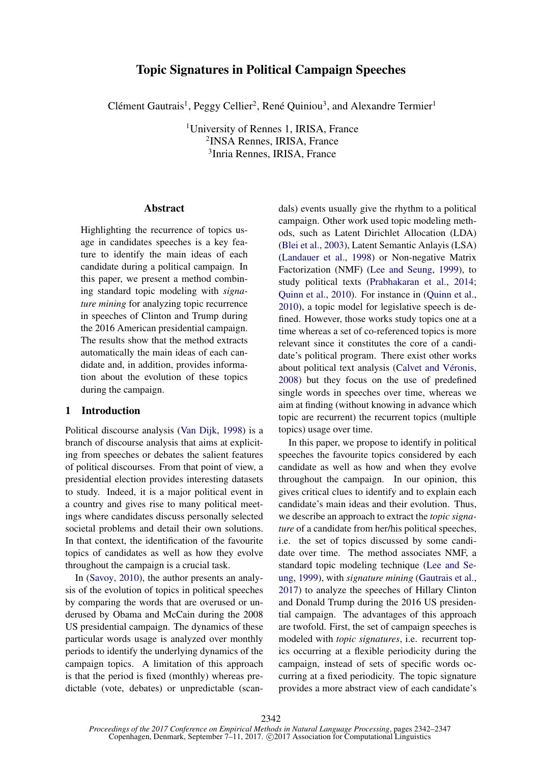# Topic Signatures in Political Campaign Speeches

Clément Gautrais<sup>1</sup>, Peggy Cellier<sup>2</sup>, René Quiniou<sup>3</sup>, and Alexandre Termier<sup>1</sup>

<sup>1</sup>University of Rennes 1, IRISA, France 2 INSA Rennes, IRISA, France 3 Inria Rennes, IRISA, France

## Abstract

Highlighting the recurrence of topics usage in candidates speeches is a key feature to identify the main ideas of each candidate during a political campaign. In this paper, we present a method combining standard topic modeling with *signature mining* for analyzing topic recurrence in speeches of Clinton and Trump during the 2016 American presidential campaign. The results show that the method extracts automatically the main ideas of each candidate and, in addition, provides information about the evolution of these topics during the campaign.

## 1 Introduction

Political discourse analysis (Van Dijk, 1998) is a branch of discourse analysis that aims at expliciting from speeches or debates the salient features of political discourses. From that point of view, a presidential election provides interesting datasets to study. Indeed, it is a major political event in a country and gives rise to many political meetings where candidates discuss personally selected societal problems and detail their own solutions. In that context, the identification of the favourite topics of candidates as well as how they evolve throughout the campaign is a crucial task.

In (Savoy, 2010), the author presents an analysis of the evolution of topics in political speeches by comparing the words that are overused or underused by Obama and McCain during the 2008 US presidential campaign. The dynamics of these particular words usage is analyzed over monthly periods to identify the underlying dynamics of the campaign topics. A limitation of this approach is that the period is fixed (monthly) whereas predictable (vote, debates) or unpredictable (scan-

dals) events usually give the rhythm to a political campaign. Other work used topic modeling methods, such as Latent Dirichlet Allocation (LDA) (Blei et al., 2003), Latent Semantic Anlayis (LSA) (Landauer et al., 1998) or Non-negative Matrix Factorization (NMF) (Lee and Seung, 1999), to study political texts (Prabhakaran et al., 2014; Quinn et al., 2010). For instance in (Quinn et al., 2010), a topic model for legislative speech is defined. However, those works study topics one at a time whereas a set of co-referenced topics is more relevant since it constitutes the core of a candidate's political program. There exist other works about political text analysis (Calvet and Véronis, 2008) but they focus on the use of predefined single words in speeches over time, whereas we aim at finding (without knowing in advance which topic are recurrent) the recurrent topics (multiple topics) usage over time.

In this paper, we propose to identify in political speeches the favourite topics considered by each candidate as well as how and when they evolve throughout the campaign. In our opinion, this gives critical clues to identify and to explain each candidate's main ideas and their evolution. Thus, we describe an approach to extract the *topic signature* of a candidate from her/his political speeches, i.e. the set of topics discussed by some candidate over time. The method associates NMF, a standard topic modeling technique (Lee and Seung, 1999), with *signature mining* (Gautrais et al., 2017) to analyze the speeches of Hillary Clinton and Donald Trump during the 2016 US presidential campaign. The advantages of this approach are twofold. First, the set of campaign speeches is modeled with *topic signatures*, i.e. recurrent topics occurring at a flexible periodicity during the campaign, instead of sets of specific words occurring at a fixed periodicity. The topic signature provides a more abstract view of each candidate's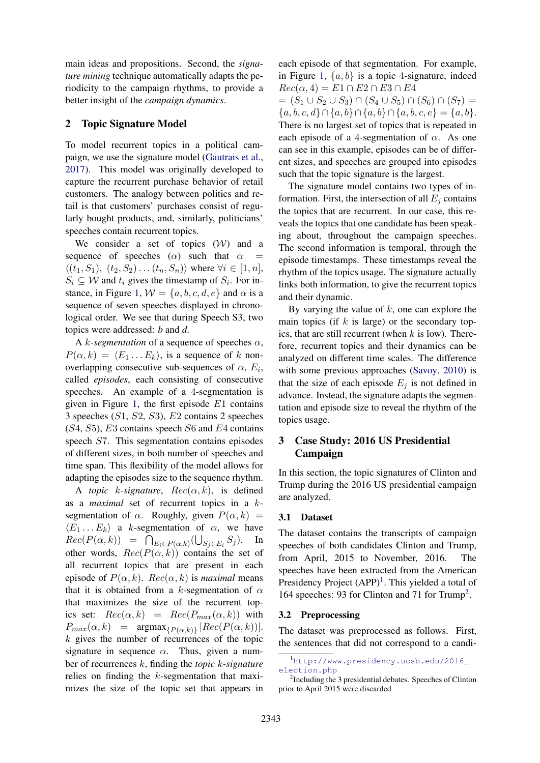main ideas and propositions. Second, the *signature mining* technique automatically adapts the periodicity to the campaign rhythms, to provide a better insight of the *campaign dynamics*.

## 2 Topic Signature Model

To model recurrent topics in a political campaign, we use the signature model (Gautrais et al., 2017). This model was originally developed to capture the recurrent purchase behavior of retail customers. The analogy between politics and retail is that customers' purchases consist of regularly bought products, and, similarly, politicians' speeches contain recurrent topics.

We consider a set of topics  $(W)$  and a sequence of speeches ( $\alpha$ ) such that  $\alpha$  =  $\langle (t_1, S_1), (t_2, S_2) \dots (t_n, S_n) \rangle$  where  $\forall i \in [1, n],$  $S_i \subseteq W$  and  $t_i$  gives the timestamp of  $S_i$ . For instance, in Figure 1,  $W = \{a, b, c, d, e\}$  and  $\alpha$  is a sequence of seven speeches displayed in chronological order. We see that during Speech S3, two topics were addressed: *b* and *d*.

A k-segmentation of a sequence of speeches  $\alpha$ ,  $P(\alpha, k) = \langle E_1 ... E_k \rangle$ , is a sequence of k nonoverlapping consecutive sub-sequences of  $\alpha$ ,  $E_i$ , called *episodes*, each consisting of consecutive speeches. An example of a 4-segmentation is given in Figure 1, the first episode  $E1$  contains 3 speeches (S1, S2, S3), E2 contains 2 speeches  $(S4, S5)$ , E3 contains speech S6 and E4 contains speech S7. This segmentation contains episodes of different sizes, in both number of speeches and time span. This flexibility of the model allows for adapting the episodes size to the sequence rhythm.

A *topic* k-signature,  $Rec(\alpha, k)$ , is defined as a *maximal* set of recurrent topics in a ksegmentation of  $\alpha$ . Roughly, given  $P(\alpha, k)$  =  $\langle E_1 \dots E_k \rangle$  a k-segmentation of  $\alpha$ , we have  $Rec(P(\alpha, k)) = \bigcap_{E_i \in P(\alpha, k)} (\bigcup_{S_j \in E_i} S_j).$  In other words,  $Rec(P(\alpha, k))$  contains the set of all recurrent topics that are present in each episode of  $P(\alpha, k)$ .  $Rec(\alpha, k)$  is *maximal* means that it is obtained from a k-segmentation of  $\alpha$ that maximizes the size of the recurrent topics set:  $Rec(\alpha, k) = Rec(P_{max}(\alpha, k))$  with  $P_{max}(\alpha, k)$  =  $argmax_{\{P(\alpha,k)\}} |Rec(P(\alpha, k))|$ .  $k$  gives the number of recurrences of the topic signature in sequence  $\alpha$ . Thus, given a number of recurrences k, finding the *topic* k*-signature* relies on finding the k-segmentation that maximizes the size of the topic set that appears in each episode of that segmentation. For example, in Figure 1,  $\{a, b\}$  is a topic 4-signature, indeed  $Rec(\alpha, 4) = E1 \cap E2 \cap E3 \cap E4$ 

 $=(S_1 \cup S_2 \cup S_3) \cap (S_4 \cup S_5) \cap (S_6) \cap (S_7) =$  ${a, b, c, d} \cap {a, b} \cap {a, b} \cap {a, b, c, e} = {a, b}.$ There is no largest set of topics that is repeated in each episode of a 4-segmentation of  $\alpha$ . As one can see in this example, episodes can be of different sizes, and speeches are grouped into episodes such that the topic signature is the largest.

The signature model contains two types of information. First, the intersection of all  $E_i$  contains the topics that are recurrent. In our case, this reveals the topics that one candidate has been speaking about, throughout the campaign speeches. The second information is temporal, through the episode timestamps. These timestamps reveal the rhythm of the topics usage. The signature actually links both information, to give the recurrent topics and their dynamic.

By varying the value of  $k$ , one can explore the main topics (if  $k$  is large) or the secondary topics, that are still recurrent (when  $k$  is low). Therefore, recurrent topics and their dynamics can be analyzed on different time scales. The difference with some previous approaches (Savoy, 2010) is that the size of each episode  $E_i$  is not defined in advance. Instead, the signature adapts the segmentation and episode size to reveal the rhythm of the topics usage.

# 3 Case Study: 2016 US Presidential Campaign

In this section, the topic signatures of Clinton and Trump during the 2016 US presidential campaign are analyzed.

## 3.1 Dataset

The dataset contains the transcripts of campaign speeches of both candidates Clinton and Trump, from April, 2015 to November, 2016. The speeches have been extracted from the American Presidency Project  $(APP)^1$ . This yielded a total of 164 speeches: 93 for Clinton and 71 for Trump<sup>2</sup> .

### 3.2 Preprocessing

The dataset was preprocessed as follows. First, the sentences that did not correspond to a candi-

<sup>1</sup>http://www.presidency.ucsb.edu/2016\_ election.php

<sup>&</sup>lt;sup>2</sup>Including the 3 presidential debates. Speeches of Clinton prior to April 2015 were discarded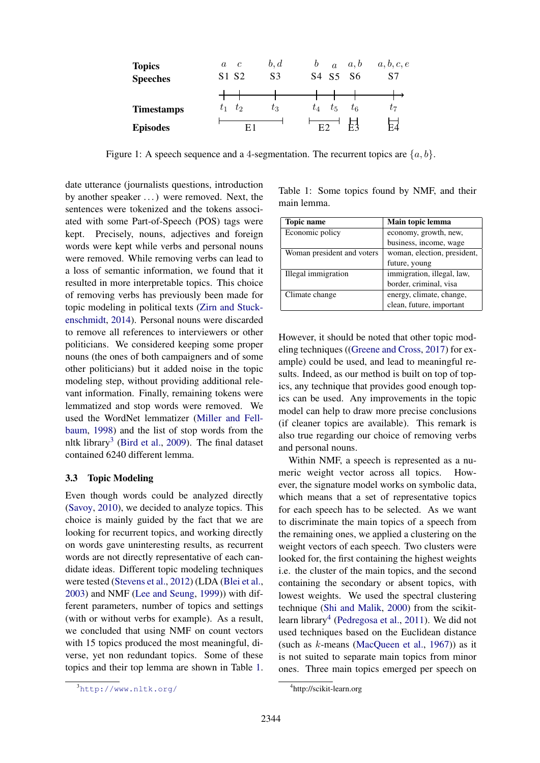| <b>Topics</b><br><b>Speeches</b> | C<br>$\alpha$<br>S1 S2 | b, d<br>S <sub>3</sub> | b       | $\overline{a}$ | a, b<br>S <sub>4</sub> S <sub>5</sub> S <sub>6</sub> | a, b, c, e<br>S7 |
|----------------------------------|------------------------|------------------------|---------|----------------|------------------------------------------------------|------------------|
|                                  |                        |                        |         |                |                                                      |                  |
| <b>Timestamps</b>                | tэ<br>t1               | $t_3$                  | $t_{4}$ | $t_{5}$        | $t_{6}$                                              | t7               |
| <b>Episodes</b>                  | F 1                    |                        | F2      |                | F٦                                                   | $_{\rm FZ}$      |

Figure 1: A speech sequence and a 4-segmentation. The recurrent topics are  $\{a, b\}$ .

date utterance (journalists questions, introduction by another speaker . . . ) were removed. Next, the sentences were tokenized and the tokens associated with some Part-of-Speech (POS) tags were kept. Precisely, nouns, adjectives and foreign words were kept while verbs and personal nouns were removed. While removing verbs can lead to a loss of semantic information, we found that it resulted in more interpretable topics. This choice of removing verbs has previously been made for topic modeling in political texts (Zirn and Stuckenschmidt, 2014). Personal nouns were discarded to remove all references to interviewers or other politicians. We considered keeping some proper nouns (the ones of both campaigners and of some other politicians) but it added noise in the topic modeling step, without providing additional relevant information. Finally, remaining tokens were lemmatized and stop words were removed. We used the WordNet lemmatizer (Miller and Fellbaum, 1998) and the list of stop words from the nltk library<sup>3</sup> (Bird et al., 2009). The final dataset contained 6240 different lemma.

#### 3.3 Topic Modeling

Even though words could be analyzed directly (Savoy, 2010), we decided to analyze topics. This choice is mainly guided by the fact that we are looking for recurrent topics, and working directly on words gave uninteresting results, as recurrent words are not directly representative of each candidate ideas. Different topic modeling techniques were tested (Stevens et al., 2012) (LDA (Blei et al., 2003) and NMF (Lee and Seung, 1999)) with different parameters, number of topics and settings (with or without verbs for example). As a result, we concluded that using NMF on count vectors with 15 topics produced the most meaningful, diverse, yet non redundant topics. Some of these topics and their top lemma are shown in Table 1.

Table 1: Some topics found by NMF, and their main lemma.

| <b>Topic name</b>          | Main topic lemma            |
|----------------------------|-----------------------------|
| Economic policy            | economy, growth, new,       |
|                            | business, income, wage      |
| Woman president and voters | woman, election, president, |
|                            | future, young               |
| Illegal immigration        | immigration, illegal, law,  |
|                            | border, criminal, visa      |
| Climate change             | energy, climate, change,    |
|                            | clean, future, important    |

However, it should be noted that other topic modeling techniques ((Greene and Cross, 2017) for example) could be used, and lead to meaningful results. Indeed, as our method is built on top of topics, any technique that provides good enough topics can be used. Any improvements in the topic model can help to draw more precise conclusions (if cleaner topics are available). This remark is also true regarding our choice of removing verbs and personal nouns.

Within NMF, a speech is represented as a numeric weight vector across all topics. However, the signature model works on symbolic data, which means that a set of representative topics for each speech has to be selected. As we want to discriminate the main topics of a speech from the remaining ones, we applied a clustering on the weight vectors of each speech. Two clusters were looked for, the first containing the highest weights i.e. the cluster of the main topics, and the second containing the secondary or absent topics, with lowest weights. We used the spectral clustering technique (Shi and Malik, 2000) from the scikitlearn library<sup>4</sup> (Pedregosa et al., 2011). We did not used techniques based on the Euclidean distance (such as  $k$ -means (MacQueen et al., 1967)) as it is not suited to separate main topics from minor ones. Three main topics emerged per speech on

<sup>3</sup>http://www.nltk.org/

<sup>4</sup> http://scikit-learn.org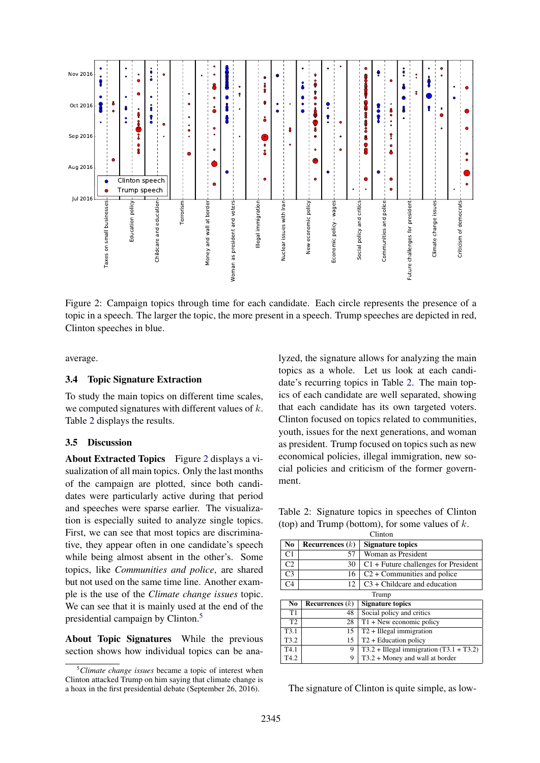

Figure 2: Campaign topics through time for each candidate. Each circle represents the presence of a topic in a speech. The larger the topic, the more present in a speech. Trump speeches are depicted in red, Clinton speeches in blue.

average.

## 3.4 Topic Signature Extraction

To study the main topics on different time scales, we computed signatures with different values of k. Table 2 displays the results.

## 3.5 Discussion

About Extracted Topics Figure 2 displays a visualization of all main topics. Only the last months of the campaign are plotted, since both candidates were particularly active during that period and speeches were sparse earlier. The visualization is especially suited to analyze single topics. First, we can see that most topics are discriminative, they appear often in one candidate's speech while being almost absent in the other's. Some topics, like *Communities and police*, are shared but not used on the same time line. Another example is the use of the *Climate change issues* topic. We can see that it is mainly used at the end of the presidential campaign by Clinton.<sup>5</sup>

About Topic Signatures While the previous section shows how individual topics can be ana-

lyzed, the signature allows for analyzing the main topics as a whole. Let us look at each candidate's recurring topics in Table 2. The main topics of each candidate are well separated, showing that each candidate has its own targeted voters. Clinton focused on topics related to communities, youth, issues for the next generations, and woman as president. Trump focused on topics such as new economical policies, illegal immigration, new social policies and criticism of the former government.

Table 2: Signature topics in speeches of Clinton (top) and Trump (bottom), for some values of  $k$ .

| Clinton          |                   |                                           |  |  |
|------------------|-------------------|-------------------------------------------|--|--|
| No.              | Recurrences $(k)$ | <b>Signature topics</b>                   |  |  |
| C1               | 57                | Woman as President                        |  |  |
| C <sub>2</sub>   | 30                | $C1$ + Future challenges for President    |  |  |
| C <sub>3</sub>   | 16                | $C2 +$ Communities and police             |  |  |
| C <sub>4</sub>   | 12                | $C3 + Childcare$ and education            |  |  |
| Trump            |                   |                                           |  |  |
|                  |                   |                                           |  |  |
| N <sub>0</sub>   | Recurrences $(k)$ | <b>Signature topics</b>                   |  |  |
| T1               | 48                | Social policy and critics                 |  |  |
| T <sub>2</sub>   | 28                | $T1 + New economic policy$                |  |  |
| T <sub>3.1</sub> | 15                | $T2 + Illegal$ immigration                |  |  |
| T <sub>3.2</sub> | 15                | $T2 +$ Education policy                   |  |  |
| T <sub>4.1</sub> | 9                 | $T3.2 + Hlegal immigration (T3.1 + T3.2)$ |  |  |

The signature of Clinton is quite simple, as low-

<sup>5</sup>*Climate change issues* became a topic of interest when Clinton attacked Trump on him saying that climate change is a hoax in the first presidential debate (September 26, 2016).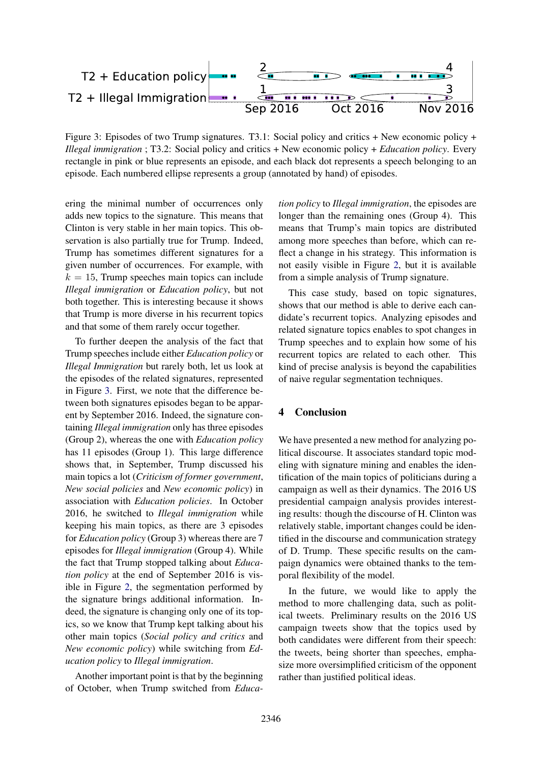

Figure 3: Episodes of two Trump signatures. T3.1: Social policy and critics + New economic policy + *Illegal immigration* ; T3.2: Social policy and critics + New economic policy + *Education policy*. Every rectangle in pink or blue represents an episode, and each black dot represents a speech belonging to an episode. Each numbered ellipse represents a group (annotated by hand) of episodes.

ering the minimal number of occurrences only adds new topics to the signature. This means that Clinton is very stable in her main topics. This observation is also partially true for Trump. Indeed, Trump has sometimes different signatures for a given number of occurrences. For example, with  $k = 15$ , Trump speeches main topics can include *Illegal immigration* or *Education policy*, but not both together. This is interesting because it shows that Trump is more diverse in his recurrent topics and that some of them rarely occur together.

To further deepen the analysis of the fact that Trump speeches include either *Education policy* or *Illegal Immigration* but rarely both, let us look at the episodes of the related signatures, represented in Figure 3. First, we note that the difference between both signatures episodes began to be apparent by September 2016. Indeed, the signature containing *Illegal immigration* only has three episodes (Group 2), whereas the one with *Education policy* has 11 episodes (Group 1). This large difference shows that, in September, Trump discussed his main topics a lot (*Criticism of former government*, *New social policies* and *New economic policy*) in association with *Education policies*. In October 2016, he switched to *Illegal immigration* while keeping his main topics, as there are 3 episodes for *Education policy* (Group 3) whereas there are 7 episodes for *Illegal immigration* (Group 4). While the fact that Trump stopped talking about *Education policy* at the end of September 2016 is visible in Figure 2, the segmentation performed by the signature brings additional information. Indeed, the signature is changing only one of its topics, so we know that Trump kept talking about his other main topics (*Social policy and critics* and *New economic policy*) while switching from *Education policy* to *Illegal immigration*.

Another important point is that by the beginning of October, when Trump switched from *Educa-* *tion policy* to *Illegal immigration*, the episodes are longer than the remaining ones (Group 4). This means that Trump's main topics are distributed among more speeches than before, which can reflect a change in his strategy. This information is not easily visible in Figure 2, but it is available from a simple analysis of Trump signature.

This case study, based on topic signatures, shows that our method is able to derive each candidate's recurrent topics. Analyzing episodes and related signature topics enables to spot changes in Trump speeches and to explain how some of his recurrent topics are related to each other. This kind of precise analysis is beyond the capabilities of naive regular segmentation techniques.

## 4 Conclusion

We have presented a new method for analyzing political discourse. It associates standard topic modeling with signature mining and enables the identification of the main topics of politicians during a campaign as well as their dynamics. The 2016 US presidential campaign analysis provides interesting results: though the discourse of H. Clinton was relatively stable, important changes could be identified in the discourse and communication strategy of D. Trump. These specific results on the campaign dynamics were obtained thanks to the temporal flexibility of the model.

In the future, we would like to apply the method to more challenging data, such as political tweets. Preliminary results on the 2016 US campaign tweets show that the topics used by both candidates were different from their speech: the tweets, being shorter than speeches, emphasize more oversimplified criticism of the opponent rather than justified political ideas.